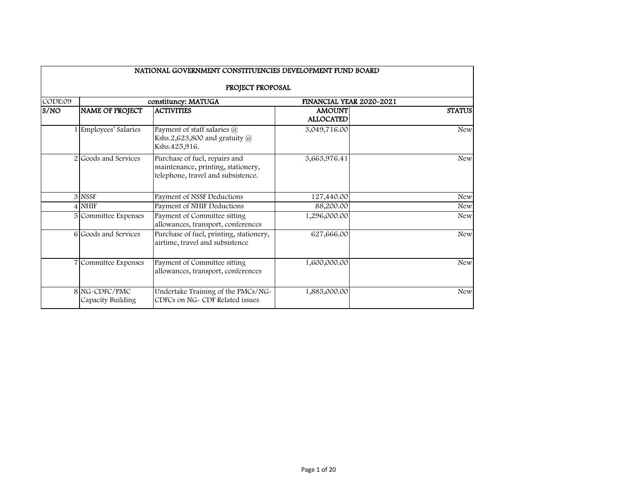|         |                                    | NATIONAL GOVERNMENT CONSTITUENCIES DEVELOPMENT FUND BOARD                                                 |                                   |               |
|---------|------------------------------------|-----------------------------------------------------------------------------------------------------------|-----------------------------------|---------------|
|         |                                    | PROJECT PROPOSAL                                                                                          |                                   |               |
| CODE:09 |                                    | constituncy: MATUGA                                                                                       | FINANCIAL YEAR 2020~2021          |               |
| S/NO    | <b>NAME OF PROJECT</b>             | <b>ACTIVITIES</b>                                                                                         | <b>AMOUNT</b><br><b>ALLOCATED</b> | <b>STATUS</b> |
|         | 1 Employees' Salaries              | Payment of staff salaries @<br>Kshs.2,623,800 and gratuity $@$<br>Kshs.425,916.                           | 3,049,716.00                      | <b>New</b>    |
|         | 2 Goods and Services               | Purchase of fuel, repairs and<br>maintenance, printing, stationery,<br>telephone, travel and subsistence. | 3,663,976.41                      | <b>New</b>    |
|         | 3 NSSF                             | Payment of NSSF Deductions                                                                                | 127,440.00                        | <b>New</b>    |
|         | $4$ NHIF                           | Payment of NHIF Deductions                                                                                | 88,200.00                         | <b>New</b>    |
|         | 5 Committee Expenses               | Payment of Committee sitting<br>allowances, transport, conferences                                        | 1,296,000.00                      | <b>New</b>    |
|         | 6 Goods and Services               | Purchase of fuel, printing, stationery,<br>airtime, travel and subsistence                                | 627,666.00                        | <b>New</b>    |
|         | 7 Committee Expenses               | Payment of Committee sitting<br>allowances, transport, conferences                                        | 1,600,000.00                      | <b>New</b>    |
|         | 8 NG-CDFC/PMC<br>Capacity Building | Undertake Training of the PMCs/NG-<br>CDFCs on NG~ CDF Related issues                                     | 1,885,000.00                      | <b>New</b>    |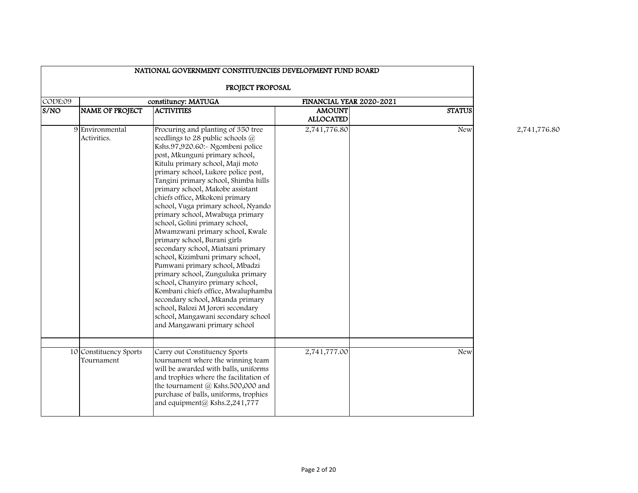|         |                                      | NATIONAL GOVERNMENT CONSTITUENCIES DEVELOPMENT FUND BOARD                                                                                                                                                                                                                                                                                                                                                                                                                                                                                                                                                                                                                                                                                                                                                                                                                                         |                                   |                          |
|---------|--------------------------------------|---------------------------------------------------------------------------------------------------------------------------------------------------------------------------------------------------------------------------------------------------------------------------------------------------------------------------------------------------------------------------------------------------------------------------------------------------------------------------------------------------------------------------------------------------------------------------------------------------------------------------------------------------------------------------------------------------------------------------------------------------------------------------------------------------------------------------------------------------------------------------------------------------|-----------------------------------|--------------------------|
|         |                                      | PROJECT PROPOSAL                                                                                                                                                                                                                                                                                                                                                                                                                                                                                                                                                                                                                                                                                                                                                                                                                                                                                  |                                   |                          |
| CODE:09 |                                      | constituncy: MATUGA                                                                                                                                                                                                                                                                                                                                                                                                                                                                                                                                                                                                                                                                                                                                                                                                                                                                               |                                   | FINANCIAL YEAR 2020~2021 |
| S/NO    | <b>NAME OF PROJECT</b>               | <b>ACTIVITIES</b>                                                                                                                                                                                                                                                                                                                                                                                                                                                                                                                                                                                                                                                                                                                                                                                                                                                                                 | <b>AMOUNT</b><br><b>ALLOCATED</b> | <b>STATUS</b>            |
|         | 9 Environmental<br>Activities.       | Procuring and planting of 350 tree<br>seedlings to 28 public schools $@$<br>Kshs.97,920.60:- Ngombeni police<br>post, Mkunguni primary school,<br>Kitulu primary school, Maji moto<br>primary school, Lukore police post,<br>Tangini primary school, Shimba hills<br>primary school, Makobe assistant<br>chiefs office, Mkokoni primary<br>school, Vuga primary school, Nyando<br>primary school, Mwabuga primary<br>school, Golini primary school,<br>Mwamzwani primary school, Kwale<br>primary school, Burani girls<br>secondary school, Miatsani primary<br>school, Kizimbani primary school,<br>Pumwani primary school, Mbadzi<br>primary school, Zunguluka primary<br>school, Chanyiro primary school,<br>Kombani chiefs office, Mwaluphamba<br>secondary school, Mkanda primary<br>school, Balozi M Jorori secondary<br>school, Mangawani secondary school<br>and Mangawani primary school | 2,741,776.80                      | <b>New</b>               |
|         | 10 Constituency Sports<br>Tournament | Carry out Constituency Sports<br>tournament where the winning team<br>will be awarded with balls, uniforms<br>and trophies where the facilitation of<br>the tournament @ Kshs.500,000 and<br>purchase of balls, uniforms, trophies<br>and equipment@ Kshs.2,241,777                                                                                                                                                                                                                                                                                                                                                                                                                                                                                                                                                                                                                               | 2,741,777.00                      | <b>New</b>               |

2,741,776.80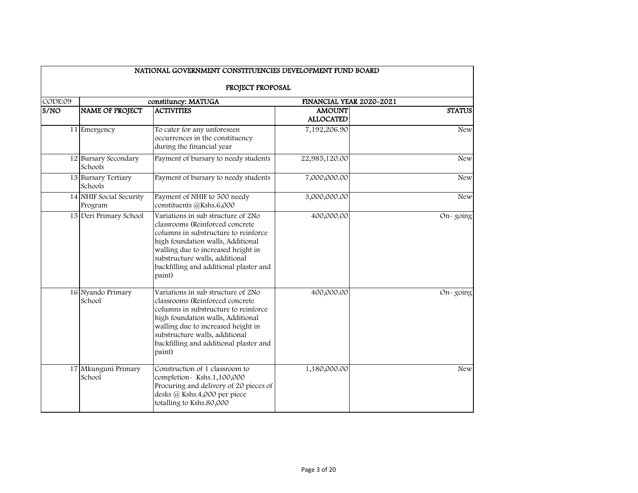|         |                                    | NATIONAL GOVERNMENT CONSTITUENCIES DEVELOPMENT FUND BOARD                                                                                                                                                                                                                      |                                   |               |
|---------|------------------------------------|--------------------------------------------------------------------------------------------------------------------------------------------------------------------------------------------------------------------------------------------------------------------------------|-----------------------------------|---------------|
|         |                                    | PROJECT PROPOSAL                                                                                                                                                                                                                                                               |                                   |               |
| CODE:09 |                                    | constituncy: MATUGA                                                                                                                                                                                                                                                            | FINANCIAL YEAR 2020~2021          |               |
| S/NO    | <b>NAME OF PROJECT</b>             | <b>ACTIVITIES</b>                                                                                                                                                                                                                                                              | <b>AMOUNT</b><br><b>ALLOCATED</b> | <b>STATUS</b> |
|         | $\overline{11}$ Emergency          | To cater for any unforeseen<br>occurrences in the constituency<br>during the financial year                                                                                                                                                                                    | 7,192,206.90                      | <b>New</b>    |
|         | 12 Bursary Secondary<br>Schools    | Payment of bursary to needy students                                                                                                                                                                                                                                           | 22,985,120.00                     | <b>New</b>    |
|         | 13 Bursary Tertiary<br>Schools     | Payment of bursary to needy students                                                                                                                                                                                                                                           | 7,000,000.00                      | <b>New</b>    |
|         | 14 NHIF Social Security<br>Program | Payment of NHIF to 500 needy<br>constituents @Kshs.6,000                                                                                                                                                                                                                       | 3,000,000.00                      | <b>New</b>    |
|         | 15 Deri Primary School             | Variations in sub structure of 2No<br>classrooms (Reinforced concrete<br>columns in substructure to reinforce<br>high foundation walls, Additional<br>walling due to increased height in<br>substructure walls, additional<br>backfilling and additional plaster and<br>paint) | 400,000.00                        | On-going      |
|         | 16 Nyando Primary<br>School        | Variations in sub structure of 2No<br>classrooms (Reinforced concrete<br>columns in substructure to reinforce<br>high foundation walls, Additional<br>walling due to increased height in<br>substructure walls, additional<br>backfilling and additional plaster and<br>paint) | 400,000.00                        | On-going      |
|         | 17 Mkunguni Primary<br>School      | Construction of 1 classroom to<br>completion-Kshs.1,100,000<br>Procuring and delivery of 20 pieces of<br>desks @ Kshs.4,000 per piece<br>totalling to Kshs.80,000                                                                                                              | 1,180,000.00                      | <b>New</b>    |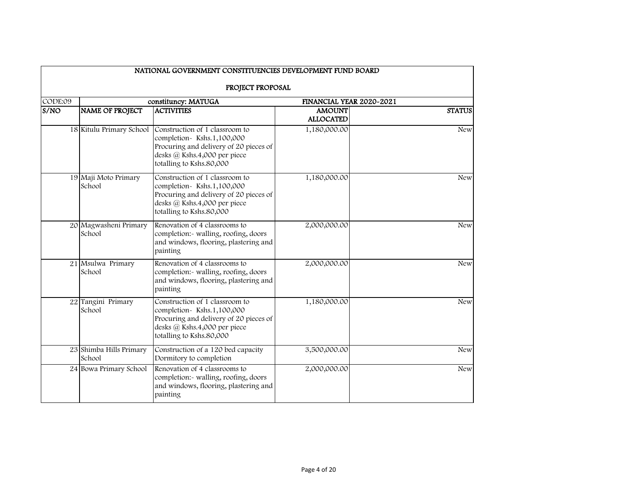|         |                                   | NATIONAL GOVERNMENT CONSTITUENCIES DEVELOPMENT FUND BOARD                                                                                                         |                                   |               |
|---------|-----------------------------------|-------------------------------------------------------------------------------------------------------------------------------------------------------------------|-----------------------------------|---------------|
|         |                                   | PROJECT PROPOSAL                                                                                                                                                  |                                   |               |
| CODE:09 |                                   | constituncy: MATUGA                                                                                                                                               | FINANCIAL YEAR 2020~2021          |               |
| S/NO    | <b>NAME OF PROJECT</b>            | <b>ACTIVITIES</b>                                                                                                                                                 | <b>AMOUNT</b><br><b>ALLOCATED</b> | <b>STATUS</b> |
|         | 18 Kitulu Primary School          | Construction of 1 classroom to<br>completion-Kshs.1,100,000<br>Procuring and delivery of 20 pieces of<br>desks @ Kshs.4,000 per piece<br>totalling to Kshs.80,000 | 1,180,000.00                      | <b>New</b>    |
|         | 19 Maji Moto Primary<br>School    | Construction of 1 classroom to<br>completion-Kshs.1,100,000<br>Procuring and delivery of 20 pieces of<br>desks @ Kshs.4,000 per piece<br>totalling to Kshs.80,000 | 1,180,000.00                      | <b>New</b>    |
|         | 20 Magwasheni Primary<br>School   | Renovation of 4 classrooms to<br>completion:- walling, roofing, doors<br>and windows, flooring, plastering and<br>painting                                        | 2,000,000.00                      | <b>New</b>    |
|         | 21 Msulwa Primary<br>School       | Renovation of 4 classrooms to<br>completion:- walling, roofing, doors<br>and windows, flooring, plastering and<br>painting                                        | 2,000,000.00                      | <b>New</b>    |
|         | 22 Tangini Primary<br>School      | Construction of 1 classroom to<br>completion-Kshs.1,100,000<br>Procuring and delivery of 20 pieces of<br>desks @ Kshs.4,000 per piece<br>totalling to Kshs.80,000 | 1,180,000.00                      | <b>New</b>    |
|         | 23 Shimba Hills Primary<br>School | Construction of a 120 bed capacity<br>Dormitory to completion                                                                                                     | 3,500,000.00                      | <b>New</b>    |
|         | 24 Bowa Primary School            | Renovation of 4 classrooms to<br>completion:- walling, roofing, doors<br>and windows, flooring, plastering and<br>painting                                        | 2,000,000.00                      | <b>New</b>    |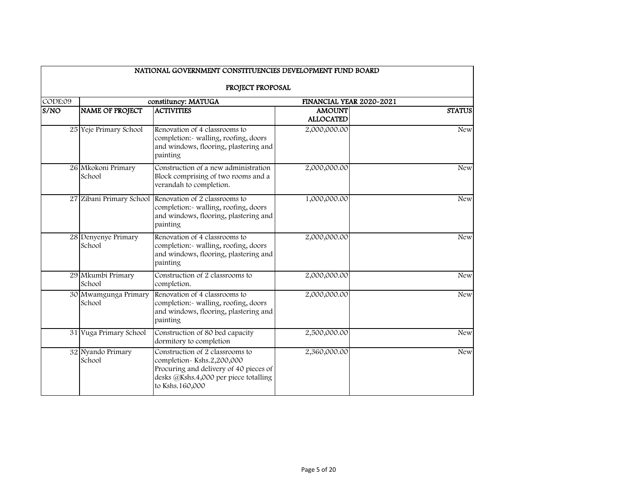|                    |                                | NATIONAL GOVERNMENT CONSTITUENCIES DEVELOPMENT FUND BOARD                                                                                                          |                                   |               |
|--------------------|--------------------------------|--------------------------------------------------------------------------------------------------------------------------------------------------------------------|-----------------------------------|---------------|
|                    |                                | PROJECT PROPOSAL                                                                                                                                                   |                                   |               |
| CODE:09            |                                | constituncy: MATUGA                                                                                                                                                | FINANCIAL YEAR 2020~2021          |               |
| $\overline{s}$ /NO | <b>NAME OF PROJECT</b>         | <b>ACTIVITIES</b>                                                                                                                                                  | <b>AMOUNT</b><br><b>ALLOCATED</b> | <b>STATUS</b> |
|                    | 25 Yeje Primary School         | Renovation of 4 classrooms to<br>completion:- walling, roofing, doors<br>and windows, flooring, plastering and<br>painting                                         | 2,000,000.00                      | <b>New</b>    |
|                    | 26 Mkokoni Primary<br>School   | Construction of a new administration<br>Block comprising of two rooms and a<br>verandah to completion.                                                             | 2,000,000.00                      | <b>New</b>    |
|                    |                                | 27 Zibani Primary School Renovation of 2 classrooms to<br>completion:- walling, roofing, doors<br>and windows, flooring, plastering and<br>painting                | 1,000,000.00                      | <b>New</b>    |
|                    | 28 Denyenye Primary<br>School  | Renovation of 4 classrooms to<br>completion:- walling, roofing, doors<br>and windows, flooring, plastering and<br>painting                                         | 2,000,000.00                      | <b>New</b>    |
|                    | 29 Mkumbi Primary<br>School    | Construction of 2 classrooms to<br>completion.                                                                                                                     | 2,000,000.00                      | <b>New</b>    |
|                    | 30 Mwamgunga Primary<br>School | Renovation of 4 classrooms to<br>completion:- walling, roofing, doors<br>and windows, flooring, plastering and<br>painting                                         | 2,000,000.00                      | <b>New</b>    |
|                    | 31 Vuga Primary School         | Construction of 80 bed capacity<br>dormitory to completion                                                                                                         | 2,500,000.00                      | <b>New</b>    |
|                    | 32 Nyando Primary<br>School    | Construction of 2 classrooms to<br>completion-Kshs.2,200,000<br>Procuring and delivery of 40 pieces of<br>desks @Kshs.4,000 per piece totalling<br>to Kshs.160,000 | 2,360,000.00                      | <b>New</b>    |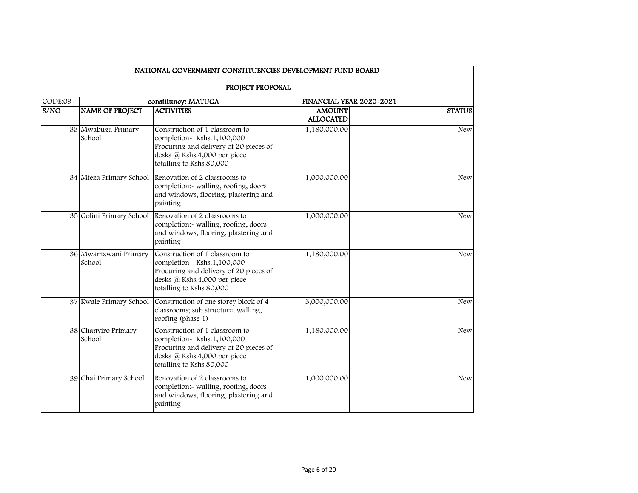|         |                                | NATIONAL GOVERNMENT CONSTITUENCIES DEVELOPMENT FUND BOARD                                                                                                         |                                   |               |
|---------|--------------------------------|-------------------------------------------------------------------------------------------------------------------------------------------------------------------|-----------------------------------|---------------|
|         |                                | PROJECT PROPOSAL                                                                                                                                                  |                                   |               |
| CODE:09 |                                | constituncy: MATUGA                                                                                                                                               | FINANCIAL YEAR 2020~2021          |               |
| S/NO    | <b>NAME OF PROJECT</b>         | <b>ACTIVITIES</b>                                                                                                                                                 | <b>AMOUNT</b><br><b>ALLOCATED</b> | <b>STATUS</b> |
|         | 33 Mwabuga Primary<br>School   | Construction of 1 classroom to<br>completion-Kshs.1,100,000<br>Procuring and delivery of 20 pieces of<br>desks @ Kshs.4,000 per piece<br>totalling to Kshs.80,000 | 1,180,000.00                      | <b>New</b>    |
|         | 34 Mteza Primary School        | Renovation of 2 classrooms to<br>completion:- walling, roofing, doors<br>and windows, flooring, plastering and<br>painting                                        | 1,000,000.00                      | <b>New</b>    |
|         | 35 Golini Primary School       | Renovation of 2 classrooms to<br>completion:- walling, roofing, doors<br>and windows, flooring, plastering and<br>painting                                        | 1,000,000.00                      | <b>New</b>    |
|         | 36 Mwamzwani Primary<br>School | Construction of 1 classroom to<br>completion-Kshs.1,100,000<br>Procuring and delivery of 20 pieces of<br>desks @ Kshs.4,000 per piece<br>totalling to Kshs.80,000 | 1,180,000.00                      | <b>New</b>    |
|         | 37 Kwale Primary School        | Construction of one storey block of 4<br>classrooms; sub structure, walling,<br>roofing (phase 1)                                                                 | 3,000,000.00                      | <b>New</b>    |
|         | 38 Chanyiro Primary<br>School  | Construction of 1 classroom to<br>completion-Kshs.1,100,000<br>Procuring and delivery of 20 pieces of<br>desks @ Kshs.4,000 per piece<br>totalling to Kshs.80,000 | 1,180,000.00                      | <b>New</b>    |
|         | 39 Chai Primary School         | Renovation of 2 classrooms to<br>completion:- walling, roofing, doors<br>and windows, flooring, plastering and<br>painting                                        | 1,000,000.00                      | <b>New</b>    |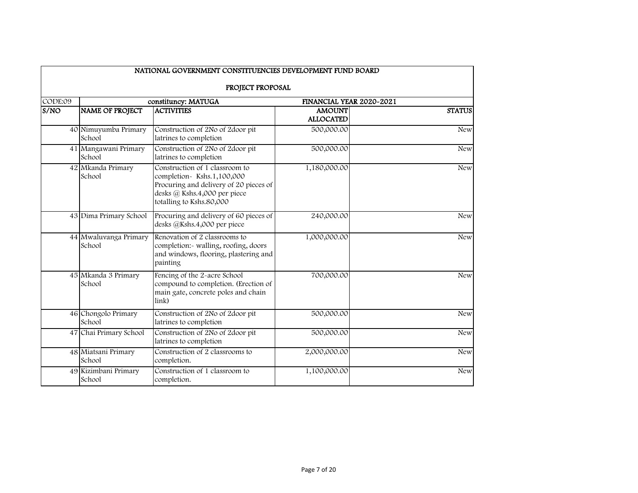|         |                                 | NATIONAL GOVERNMENT CONSTITUENCIES DEVELOPMENT FUND BOARD                                                                                                         |                                   |               |
|---------|---------------------------------|-------------------------------------------------------------------------------------------------------------------------------------------------------------------|-----------------------------------|---------------|
|         |                                 | PROJECT PROPOSAL                                                                                                                                                  |                                   |               |
| CODE:09 |                                 | constituncy: MATUGA                                                                                                                                               | FINANCIAL YEAR 2020~2021          |               |
| S/NO    | <b>NAME OF PROJECT</b>          | <b>ACTIVITIES</b>                                                                                                                                                 | <b>AMOUNT</b><br><b>ALLOCATED</b> | <b>STATUS</b> |
|         | 40 Nimuyumba Primary<br>School  | Construction of 2No of 2door pit<br>latrines to completion                                                                                                        | 500,000.00                        | <b>New</b>    |
|         | 41 Mangawani Primary<br>School  | Construction of 2No of 2door pit<br>latrines to completion                                                                                                        | 500,000.00                        | <b>New</b>    |
|         | 42 Mkanda Primary<br>School     | Construction of 1 classroom to<br>completion-Kshs.1,100,000<br>Procuring and delivery of 20 pieces of<br>desks @ Kshs.4,000 per piece<br>totalling to Kshs.80,000 | 1,180,000.00                      | <b>New</b>    |
|         | 43 Dima Primary School          | Procuring and delivery of 60 pieces of<br>desks @Kshs.4,000 per piece                                                                                             | 240,000.00                        | <b>New</b>    |
|         | 44 Mwaluvanga Primary<br>School | Renovation of 2 classrooms to<br>completion:- walling, roofing, doors<br>and windows, flooring, plastering and<br>painting                                        | 1,000,000.00                      | <b>New</b>    |
|         | 45 Mkanda 3 Primary<br>School   | Fencing of the 2-acre School<br>compound to completion. (Erection of<br>main gate, concrete poles and chain<br>link)                                              | 700,000.00                        | <b>New</b>    |
|         | 46 Chongolo Primary<br>School   | Construction of 2No of 2door pit<br>latrines to completion                                                                                                        | 500,000.00                        | <b>New</b>    |
|         | 47 Chai Primary School          | Construction of 2No of 2door pit<br>latrines to completion                                                                                                        | 500,000.00                        | <b>New</b>    |
|         | 48 Miatsani Primary<br>School   | Construction of 2 classrooms to<br>completion.                                                                                                                    | 2,000,000.00                      | <b>New</b>    |
|         | 49 Kizimbani Primary<br>School  | Construction of 1 classroom to<br>completion.                                                                                                                     | 1,100,000.00                      | New           |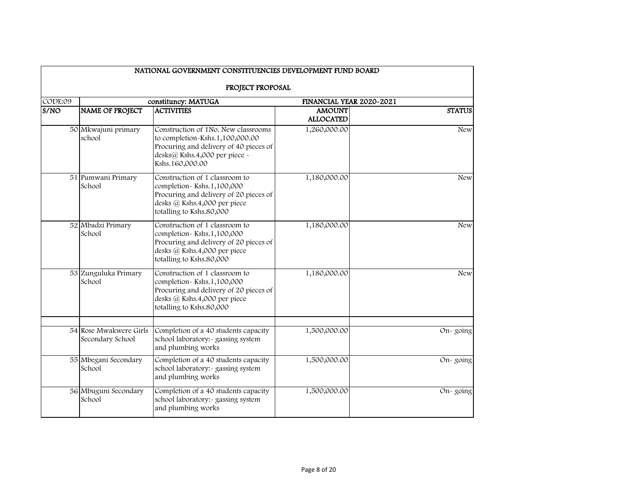|         |                                            | NATIONAL GOVERNMENT CONSTITUENCIES DEVELOPMENT FUND BOARD                                                                                                            |                                   |               |
|---------|--------------------------------------------|----------------------------------------------------------------------------------------------------------------------------------------------------------------------|-----------------------------------|---------------|
|         |                                            | PROJECT PROPOSAL                                                                                                                                                     |                                   |               |
| CODE:09 |                                            | constituncy: MATUGA                                                                                                                                                  | FINANCIAL YEAR 2020~2021          |               |
| S/NO    | NAME OF PROJECT                            | <b>ACTIVITIES</b>                                                                                                                                                    | <b>AMOUNT</b><br><b>ALLOCATED</b> | <b>STATUS</b> |
|         | 50 Mkwajuni primary<br>school              | Construction of 1No. New classrooms<br>to completion-Kshs.1,100,000.00<br>Procuring and delivery of 40 pieces of<br>desks@ Kshs.4,000 per piece ~<br>Kshs.160,000.00 | 1,260,000.00                      | <b>New</b>    |
|         | 51 Pumwani Primary<br>School               | Construction of 1 classroom to<br>completion-Kshs.1,100,000<br>Procuring and delivery of 20 pieces of<br>desks @ Kshs.4,000 per piece<br>totalling to Kshs.80,000    | 1,180,000.00                      | <b>New</b>    |
|         | 52 Mbadzi Primary<br>School                | Construction of 1 classroom to<br>completion-Kshs.1,100,000<br>Procuring and delivery of 20 pieces of<br>desks @ Kshs.4,000 per piece<br>totalling to Kshs.80,000    | 1,180,000.00                      | <b>New</b>    |
|         | 53 Zunguluka Primary<br>School             | Construction of 1 classroom to<br>completion-Kshs.1,100,000<br>Procuring and delivery of 20 pieces of<br>desks @ Kshs.4,000 per piece<br>totalling to Kshs.80,000    | 1,180,000.00                      | <b>New</b>    |
|         | 54 Rose Mwakwere Girls<br>Secondary School | Completion of a 40 students capacity<br>school laboratory:- gassing system<br>and plumbing works                                                                     | 1,500,000.00                      | $On-going$    |
|         | 55 Mbegani Secondary<br>School             | Completion of a 40 students capacity<br>school laboratory:- gassing system<br>and plumbing works                                                                     | 1,500,000.00                      | On-going      |
|         | 56 Mbuguni Secondary<br>School             | Completion of a 40 students capacity<br>school laboratory:- gassing system<br>and plumbing works                                                                     | 1,500,000.00                      | $On-going$    |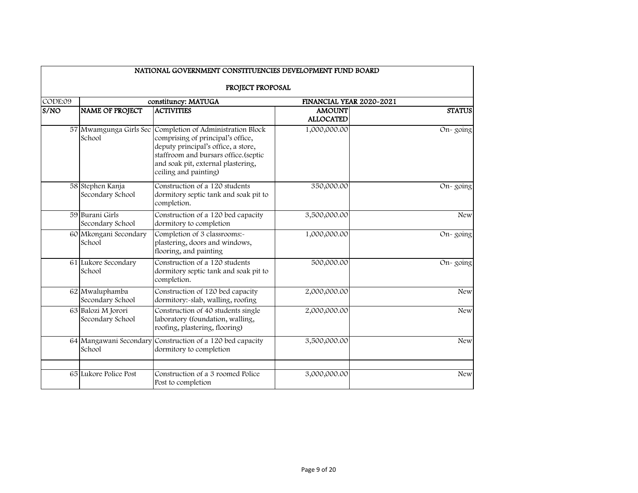| NATIONAL GOVERNMENT CONSTITUENCIES DEVELOPMENT FUND BOARD |                                        |                                                                                                                                                                                                                                              |                                   |               |  |  |  |
|-----------------------------------------------------------|----------------------------------------|----------------------------------------------------------------------------------------------------------------------------------------------------------------------------------------------------------------------------------------------|-----------------------------------|---------------|--|--|--|
|                                                           | PROJECT PROPOSAL                       |                                                                                                                                                                                                                                              |                                   |               |  |  |  |
| CODE:O9                                                   |                                        | constituncy: MATUGA                                                                                                                                                                                                                          | FINANCIAL YEAR 2020~2021          |               |  |  |  |
| S/NO                                                      | <b>NAME OF PROJECT</b>                 | <b>ACTIVITIES</b>                                                                                                                                                                                                                            | <b>AMOUNT</b><br><b>ALLOCATED</b> | <b>STATUS</b> |  |  |  |
|                                                           | School                                 | 57 Mwamgunga Girls Sec Completion of Administration Block<br>comprising of principal's office,<br>deputy principal's office, a store,<br>staffroom and bursars office.(septic<br>and soak pit, external plastering,<br>ceiling and painting) | 1,000,000.00                      | $On-going$    |  |  |  |
|                                                           | 58 Stephen Kanja<br>Secondary School   | Construction of a 120 students<br>dormitory septic tank and soak pit to<br>completion.                                                                                                                                                       | 350,000.00                        | On-going      |  |  |  |
|                                                           | 59 Burani Girls<br>Secondary School    | Construction of a 120 bed capacity<br>dormitory to completion                                                                                                                                                                                | 3,500,000.00                      | <b>New</b>    |  |  |  |
|                                                           | 60 Mkongani Secondary<br>School        | Completion of 3 classrooms:-<br>plastering, doors and windows,<br>flooring, and painting                                                                                                                                                     | 1,000,000.00                      | On-going      |  |  |  |
|                                                           | 61 Lukore Secondary<br>School          | Construction of a 120 students<br>dormitory septic tank and soak pit to<br>completion.                                                                                                                                                       | 500,000.00                        | $On-going$    |  |  |  |
|                                                           | 62 Mwaluphamba<br>Secondary School     | Construction of 120 bed capacity<br>dormitory:-slab, walling, roofing                                                                                                                                                                        | 2,000,000.00                      | <b>New</b>    |  |  |  |
|                                                           | 63 Balozi M Jorori<br>Secondary School | Construction of 40 students single<br>laboratory (foundation, walling,<br>roofing, plastering, flooring)                                                                                                                                     | 2,000,000.00                      | <b>New</b>    |  |  |  |
|                                                           | School                                 | 64 Mangawani Secondary Construction of a 120 bed capacity<br>dormitory to completion                                                                                                                                                         | 3,500,000.00                      | <b>New</b>    |  |  |  |
|                                                           | 65 Lukore Police Post                  | Construction of a 3 roomed Police<br>Post to completion                                                                                                                                                                                      | 3,000,000.00                      | <b>New</b>    |  |  |  |